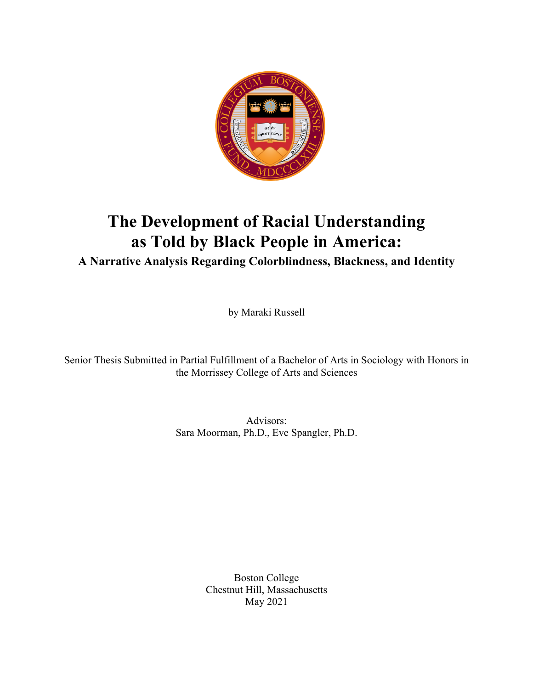

# **The Development of Racial Understanding as Told by Black People in America: A Narrative Analysis Regarding Colorblindness, Blackness, and Identity**

by Maraki Russell

Senior Thesis Submitted in Partial Fulfillment of a Bachelor of Arts in Sociology with Honors in the Morrissey College of Arts and Sciences

> Advisors: Sara Moorman, Ph.D., Eve Spangler, Ph.D.

> > Boston College Chestnut Hill, Massachusetts May 2021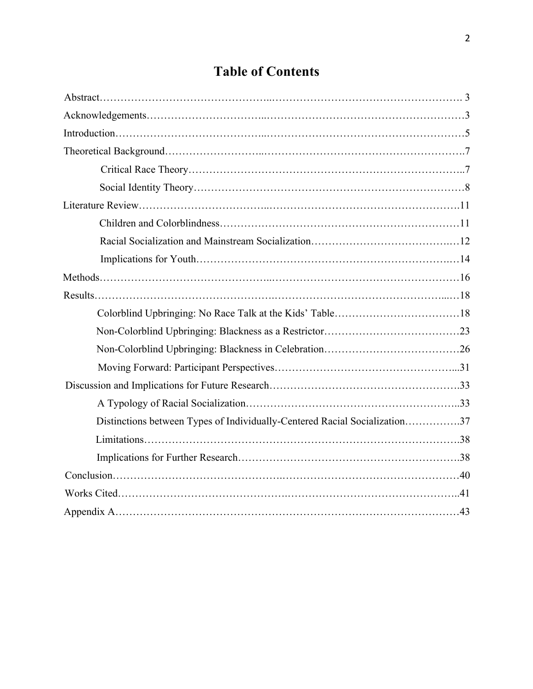# **Table of Contents**

| Distinctions between Types of Individually-Centered Racial Socialization37 |  |
|----------------------------------------------------------------------------|--|
|                                                                            |  |
|                                                                            |  |
|                                                                            |  |
|                                                                            |  |
|                                                                            |  |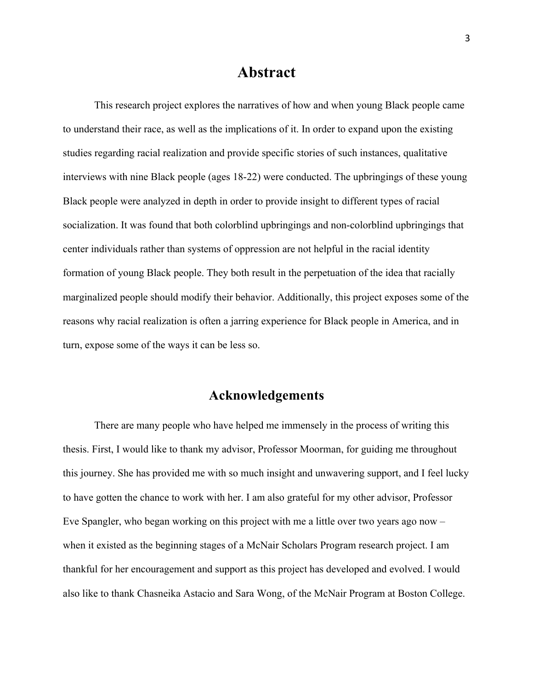## **Abstract**

This research project explores the narratives of how and when young Black people came to understand their race, as well as the implications of it. In order to expand upon the existing studies regarding racial realization and provide specific stories of such instances, qualitative interviews with nine Black people (ages 18-22) were conducted. The upbringings of these young Black people were analyzed in depth in order to provide insight to different types of racial socialization. It was found that both colorblind upbringings and non-colorblind upbringings that center individuals rather than systems of oppression are not helpful in the racial identity formation of young Black people. They both result in the perpetuation of the idea that racially marginalized people should modify their behavior. Additionally, this project exposes some of the reasons why racial realization is often a jarring experience for Black people in America, and in turn, expose some of the ways it can be less so.

## **Acknowledgements**

There are many people who have helped me immensely in the process of writing this thesis. First, I would like to thank my advisor, Professor Moorman, for guiding me throughout this journey. She has provided me with so much insight and unwavering support, and I feel lucky to have gotten the chance to work with her. I am also grateful for my other advisor, Professor Eve Spangler, who began working on this project with me a little over two years ago now – when it existed as the beginning stages of a McNair Scholars Program research project. I am thankful for her encouragement and support as this project has developed and evolved. I would also like to thank Chasneika Astacio and Sara Wong, of the McNair Program at Boston College.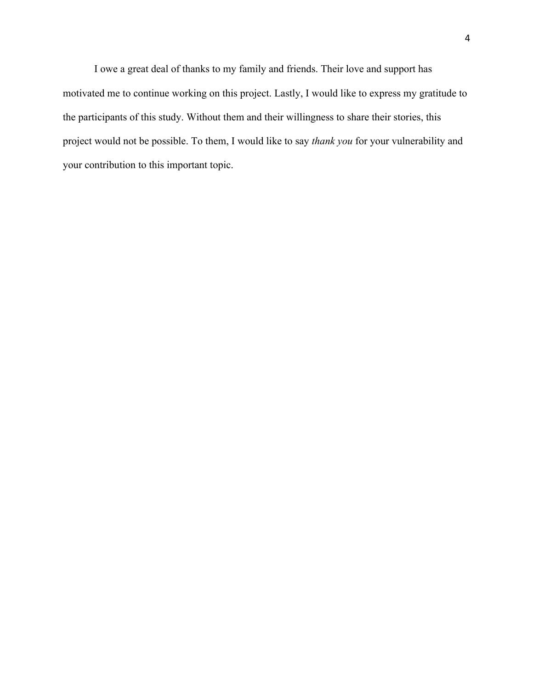I owe a great deal of thanks to my family and friends. Their love and support has motivated me to continue working on this project. Lastly, I would like to express my gratitude to the participants of this study. Without them and their willingness to share their stories, this project would not be possible. To them, I would like to say *thank you* for your vulnerability and your contribution to this important topic.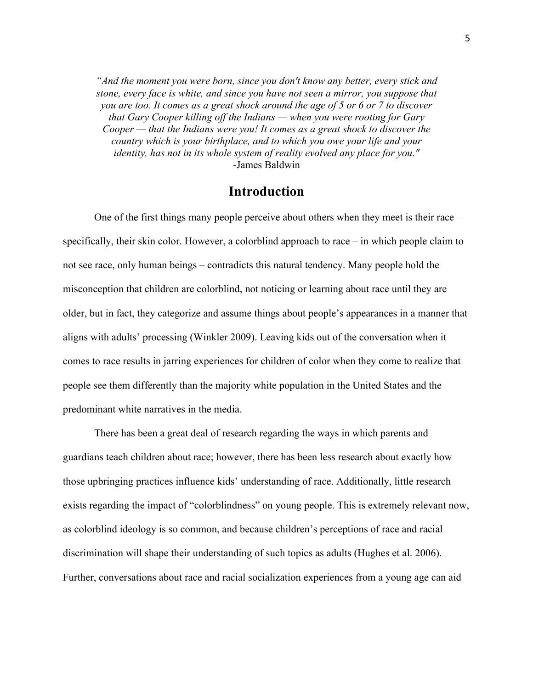*"And the moment you were born, since you don't know any better, every stick and stone, every face is white, and since you have not seen a mirror, you suppose that you are too. It comes as a great shock around the age of 5 or 6 or 7 to discover that Gary Cooper killing off the Indians — when you were rooting for Gary Cooper — that the Indians were you! It comes as a great shock to discover the country which is your birthplace, and to which you owe your life and your identity, has not in its whole system of reality evolved any place for you."* -James Baldwin

### **Introduction**

 One of the first things many people perceive about others when they meet is their race – specifically, their skin color. However, a colorblind approach to race – in which people claim to not see race, only human beings – contradicts this natural tendency. Many people hold the misconception that children are colorblind, not noticing or learning about race until they are older, but in fact, they categorize and assume things about people's appearances in a manner that aligns with adults' processing (Winkler 2009). Leaving kids out of the conversation when it comes to race results in jarring experiences for children of color when they come to realize that people see them differently than the majority white population in the United States and the predominant white narratives in the media.

 There has been a great deal of research regarding the ways in which parents and guardians teach children about race; however, there has been less research about exactly how those upbringing practices influence kids' understanding of race. Additionally, little research exists regarding the impact of "colorblindness" on young people. This is extremely relevant now, as colorblind ideology is so common, and because children's perceptions of race and racial discrimination will shape their understanding of such topics as adults (Hughes et al. 2006). Further, conversations about race and racial socialization experiences from a young age can aid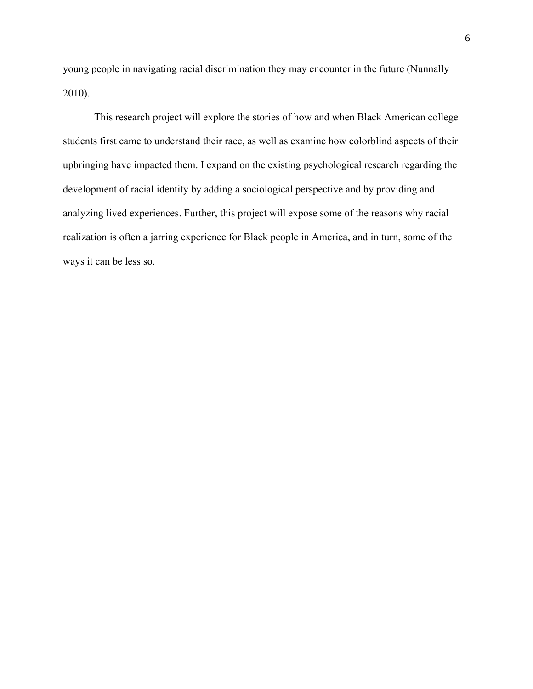young people in navigating racial discrimination they may encounter in the future (Nunnally 2010).

 This research project will explore the stories of how and when Black American college students first came to understand their race, as well as examine how colorblind aspects of their upbringing have impacted them. I expand on the existing psychological research regarding the development of racial identity by adding a sociological perspective and by providing and analyzing lived experiences. Further, this project will expose some of the reasons why racial realization is often a jarring experience for Black people in America, and in turn, some of the ways it can be less so.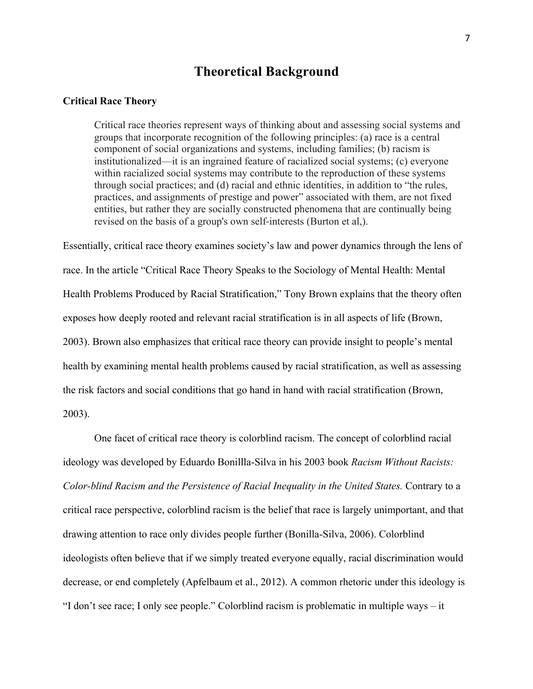## **Theoretical Background**

### **Critical Race Theory**

Critical race theories represent ways of thinking about and assessing social systems and groups that incorporate recognition of the following principles: (a) race is a central component of social organizations and systems, including families; (b) racism is institutionalized—it is an ingrained feature of racialized social systems; (c) everyone within racialized social systems may contribute to the reproduction of these systems through social practices; and (d) racial and ethnic identities, in addition to "the rules, practices, and assignments of prestige and power" associated with them, are not fixed entities, but rather they are socially constructed phenomena that are continually being revised on the basis of a group's own self-interests (Burton et al,).

Essentially, critical race theory examines society's law and power dynamics through the lens of race. In the article "Critical Race Theory Speaks to the Sociology of Mental Health: Mental Health Problems Produced by Racial Stratification," Tony Brown explains that the theory often exposes how deeply rooted and relevant racial stratification is in all aspects of life (Brown, 2003). Brown also emphasizes that critical race theory can provide insight to people's mental health by examining mental health problems caused by racial stratification, as well as assessing the risk factors and social conditions that go hand in hand with racial stratification (Brown, 2003).

One facet of critical race theory is colorblind racism. The concept of colorblind racial ideology was developed by Eduardo Bonillla-Silva in his 2003 book *Racism Without Racists: Color-blind Racism and the Persistence of Racial Inequality in the United States.* Contrary to a critical race perspective, colorblind racism is the belief that race is largely unimportant, and that drawing attention to race only divides people further (Bonilla-Silva, 2006). Colorblind ideologists often believe that if we simply treated everyone equally, racial discrimination would decrease, or end completely (Apfelbaum et al., 2012). A common rhetoric under this ideology is "I don't see race; I only see people." Colorblind racism is problematic in multiple ways – it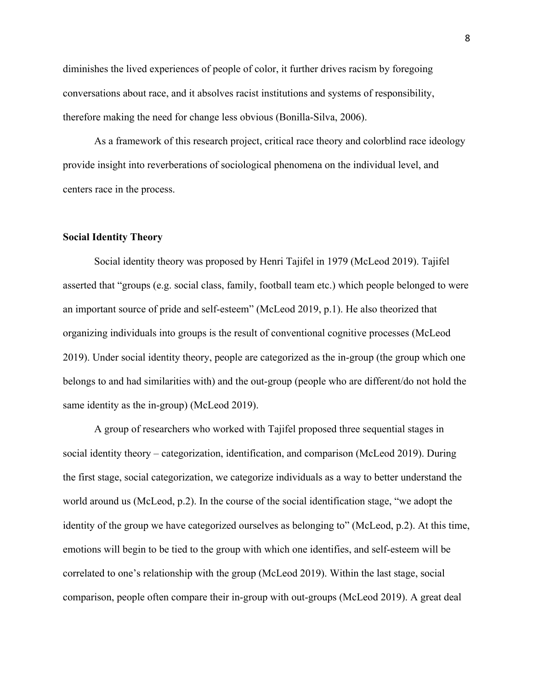diminishes the lived experiences of people of color, it further drives racism by foregoing conversations about race, and it absolves racist institutions and systems of responsibility, therefore making the need for change less obvious (Bonilla-Silva, 2006).

As a framework of this research project, critical race theory and colorblind race ideology provide insight into reverberations of sociological phenomena on the individual level, and centers race in the process.

### **Social Identity Theory**

Social identity theory was proposed by Henri Tajifel in 1979 (McLeod 2019). Tajifel asserted that "groups (e.g. social class, family, football team etc.) which people belonged to were an important source of pride and self-esteem" (McLeod 2019, p.1). He also theorized that organizing individuals into groups is the result of conventional cognitive processes (McLeod 2019). Under social identity theory, people are categorized as the in-group (the group which one belongs to and had similarities with) and the out-group (people who are different/do not hold the same identity as the in-group) (McLeod 2019).

A group of researchers who worked with Tajifel proposed three sequential stages in social identity theory – categorization, identification, and comparison (McLeod 2019). During the first stage, social categorization, we categorize individuals as a way to better understand the world around us (McLeod, p.2). In the course of the social identification stage, "we adopt the identity of the group we have categorized ourselves as belonging to" (McLeod, p.2). At this time, emotions will begin to be tied to the group with which one identifies, and self-esteem will be correlated to one's relationship with the group (McLeod 2019). Within the last stage, social comparison, people often compare their in-group with out-groups (McLeod 2019). A great deal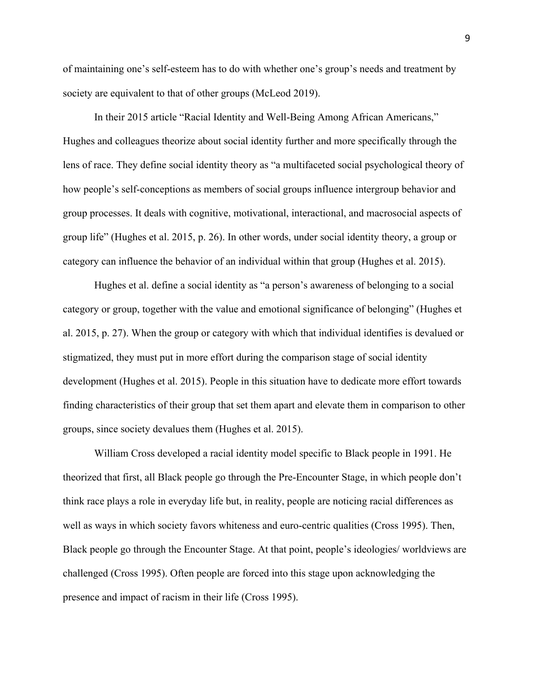of maintaining one's self-esteem has to do with whether one's group's needs and treatment by society are equivalent to that of other groups (McLeod 2019).

In their 2015 article "Racial Identity and Well-Being Among African Americans," Hughes and colleagues theorize about social identity further and more specifically through the lens of race. They define social identity theory as "a multifaceted social psychological theory of how people's self-conceptions as members of social groups influence intergroup behavior and group processes. It deals with cognitive, motivational, interactional, and macrosocial aspects of group life" (Hughes et al. 2015, p. 26). In other words, under social identity theory, a group or category can influence the behavior of an individual within that group (Hughes et al. 2015).

Hughes et al. define a social identity as "a person's awareness of belonging to a social category or group, together with the value and emotional significance of belonging" (Hughes et al. 2015, p. 27). When the group or category with which that individual identifies is devalued or stigmatized, they must put in more effort during the comparison stage of social identity development (Hughes et al. 2015). People in this situation have to dedicate more effort towards finding characteristics of their group that set them apart and elevate them in comparison to other groups, since society devalues them (Hughes et al. 2015).

William Cross developed a racial identity model specific to Black people in 1991. He theorized that first, all Black people go through the Pre-Encounter Stage, in which people don't think race plays a role in everyday life but, in reality, people are noticing racial differences as well as ways in which society favors whiteness and euro-centric qualities (Cross 1995). Then, Black people go through the Encounter Stage. At that point, people's ideologies/ worldviews are challenged (Cross 1995). Often people are forced into this stage upon acknowledging the presence and impact of racism in their life (Cross 1995).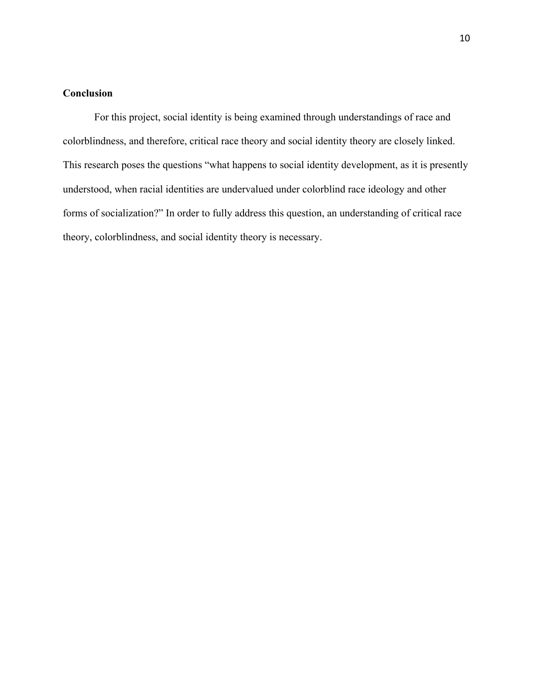## **Conclusion**

For this project, social identity is being examined through understandings of race and colorblindness, and therefore, critical race theory and social identity theory are closely linked. This research poses the questions "what happens to social identity development, as it is presently understood, when racial identities are undervalued under colorblind race ideology and other forms of socialization?" In order to fully address this question, an understanding of critical race theory, colorblindness, and social identity theory is necessary.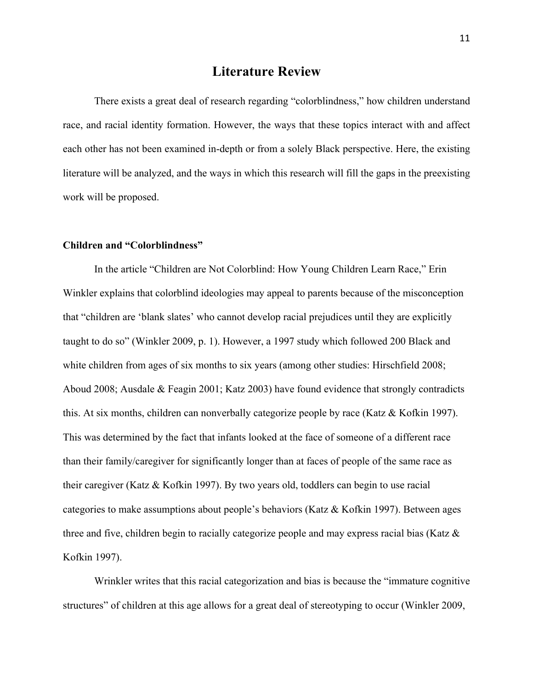## **Literature Review**

There exists a great deal of research regarding "colorblindness," how children understand race, and racial identity formation. However, the ways that these topics interact with and affect each other has not been examined in-depth or from a solely Black perspective. Here, the existing literature will be analyzed, and the ways in which this research will fill the gaps in the preexisting work will be proposed.

### **Children and "Colorblindness"**

In the article "Children are Not Colorblind: How Young Children Learn Race," Erin Winkler explains that colorblind ideologies may appeal to parents because of the misconception that "children are 'blank slates' who cannot develop racial prejudices until they are explicitly taught to do so" (Winkler 2009, p. 1). However, a 1997 study which followed 200 Black and white children from ages of six months to six years (among other studies: Hirschfield 2008; Aboud 2008; Ausdale & Feagin 2001; Katz 2003) have found evidence that strongly contradicts this. At six months, children can nonverbally categorize people by race (Katz & Kofkin 1997). This was determined by the fact that infants looked at the face of someone of a different race than their family/caregiver for significantly longer than at faces of people of the same race as their caregiver (Katz & Kofkin 1997). By two years old, toddlers can begin to use racial categories to make assumptions about people's behaviors (Katz & Kofkin 1997). Between ages three and five, children begin to racially categorize people and may express racial bias (Katz & Kofkin 1997).

Wrinkler writes that this racial categorization and bias is because the "immature cognitive structures" of children at this age allows for a great deal of stereotyping to occur (Winkler 2009,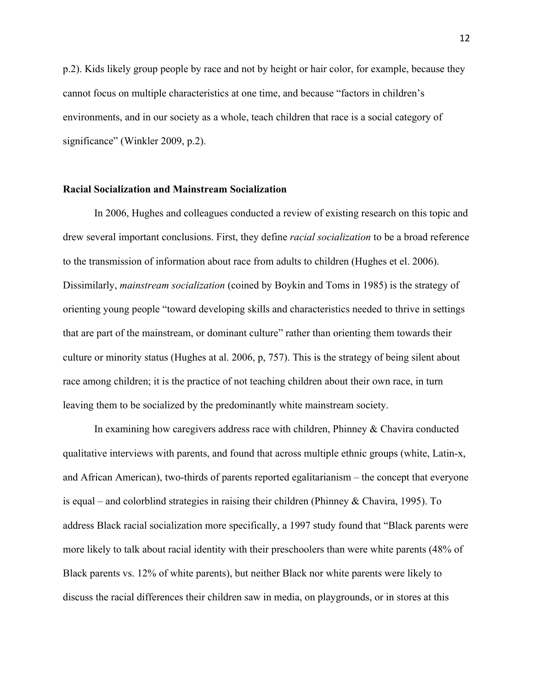p.2). Kids likely group people by race and not by height or hair color, for example, because they cannot focus on multiple characteristics at one time, and because "factors in children's environments, and in our society as a whole, teach children that race is a social category of significance" (Winkler 2009, p.2).

### **Racial Socialization and Mainstream Socialization**

In 2006, Hughes and colleagues conducted a review of existing research on this topic and drew several important conclusions. First, they define *racial socialization* to be a broad reference to the transmission of information about race from adults to children (Hughes et el. 2006). Dissimilarly, *mainstream socialization* (coined by Boykin and Toms in 1985) is the strategy of orienting young people "toward developing skills and characteristics needed to thrive in settings that are part of the mainstream, or dominant culture" rather than orienting them towards their culture or minority status (Hughes at al. 2006, p, 757). This is the strategy of being silent about race among children; it is the practice of not teaching children about their own race, in turn leaving them to be socialized by the predominantly white mainstream society.

In examining how caregivers address race with children, Phinney & Chavira conducted qualitative interviews with parents, and found that across multiple ethnic groups (white, Latin-x, and African American), two-thirds of parents reported egalitarianism – the concept that everyone is equal – and colorblind strategies in raising their children (Phinney & Chavira, 1995). To address Black racial socialization more specifically, a 1997 study found that "Black parents were more likely to talk about racial identity with their preschoolers than were white parents (48% of Black parents vs. 12% of white parents), but neither Black nor white parents were likely to discuss the racial differences their children saw in media, on playgrounds, or in stores at this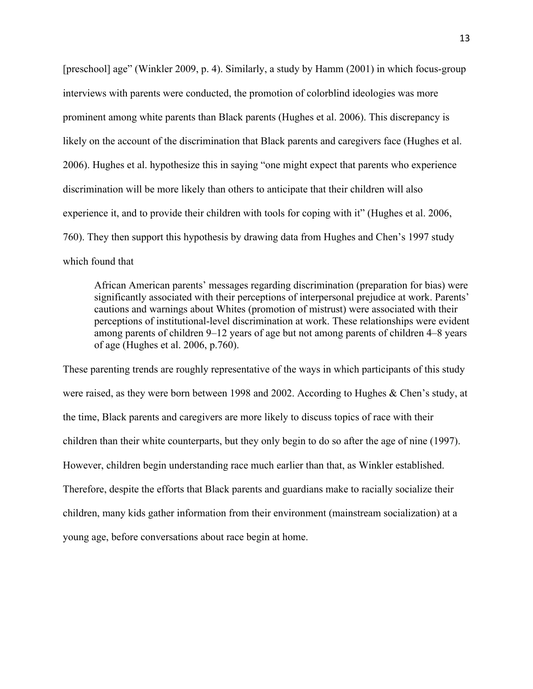[preschool] age" (Winkler 2009, p. 4). Similarly, a study by Hamm (2001) in which focus-group interviews with parents were conducted, the promotion of colorblind ideologies was more prominent among white parents than Black parents (Hughes et al. 2006). This discrepancy is likely on the account of the discrimination that Black parents and caregivers face (Hughes et al. 2006). Hughes et al. hypothesize this in saying "one might expect that parents who experience discrimination will be more likely than others to anticipate that their children will also experience it, and to provide their children with tools for coping with it" (Hughes et al. 2006, 760). They then support this hypothesis by drawing data from Hughes and Chen's 1997 study which found that

African American parents' messages regarding discrimination (preparation for bias) were significantly associated with their perceptions of interpersonal prejudice at work. Parents' cautions and warnings about Whites (promotion of mistrust) were associated with their perceptions of institutional-level discrimination at work. These relationships were evident among parents of children 9–12 years of age but not among parents of children 4–8 years of age (Hughes et al. 2006, p.760).

These parenting trends are roughly representative of the ways in which participants of this study were raised, as they were born between 1998 and 2002. According to Hughes & Chen's study, at the time, Black parents and caregivers are more likely to discuss topics of race with their children than their white counterparts, but they only begin to do so after the age of nine (1997). However, children begin understanding race much earlier than that, as Winkler established. Therefore, despite the efforts that Black parents and guardians make to racially socialize their children, many kids gather information from their environment (mainstream socialization) at a young age, before conversations about race begin at home.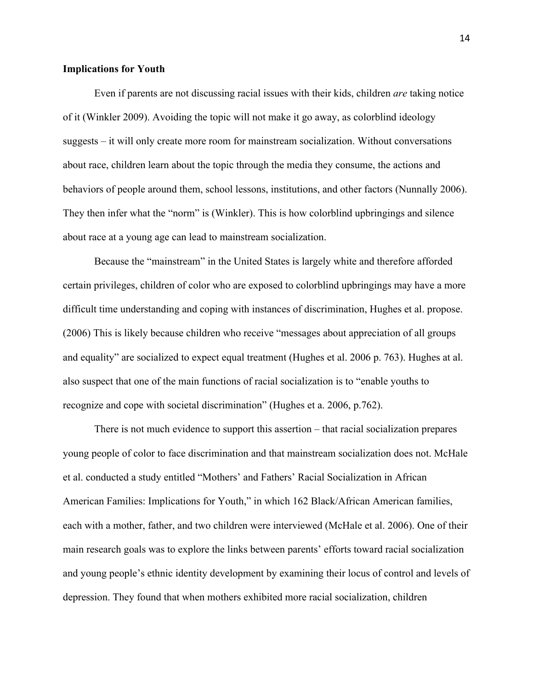#### **Implications for Youth**

Even if parents are not discussing racial issues with their kids, children *are* taking notice of it (Winkler 2009). Avoiding the topic will not make it go away, as colorblind ideology suggests – it will only create more room for mainstream socialization. Without conversations about race, children learn about the topic through the media they consume, the actions and behaviors of people around them, school lessons, institutions, and other factors (Nunnally 2006). They then infer what the "norm" is (Winkler). This is how colorblind upbringings and silence about race at a young age can lead to mainstream socialization.

Because the "mainstream" in the United States is largely white and therefore afforded certain privileges, children of color who are exposed to colorblind upbringings may have a more difficult time understanding and coping with instances of discrimination, Hughes et al. propose. (2006) This is likely because children who receive "messages about appreciation of all groups and equality" are socialized to expect equal treatment (Hughes et al. 2006 p. 763). Hughes at al. also suspect that one of the main functions of racial socialization is to "enable youths to recognize and cope with societal discrimination" (Hughes et a. 2006, p.762).

There is not much evidence to support this assertion – that racial socialization prepares young people of color to face discrimination and that mainstream socialization does not. McHale et al. conducted a study entitled "Mothers' and Fathers' Racial Socialization in African American Families: Implications for Youth," in which 162 Black/African American families, each with a mother, father, and two children were interviewed (McHale et al. 2006). One of their main research goals was to explore the links between parents' efforts toward racial socialization and young people's ethnic identity development by examining their locus of control and levels of depression. They found that when mothers exhibited more racial socialization, children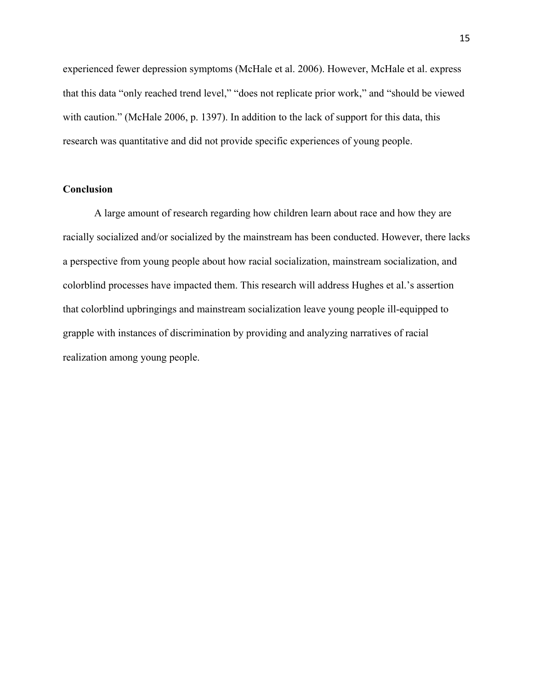experienced fewer depression symptoms (McHale et al. 2006). However, McHale et al. express that this data "only reached trend level," "does not replicate prior work," and "should be viewed with caution." (McHale 2006, p. 1397). In addition to the lack of support for this data, this research was quantitative and did not provide specific experiences of young people.

### **Conclusion**

A large amount of research regarding how children learn about race and how they are racially socialized and/or socialized by the mainstream has been conducted. However, there lacks a perspective from young people about how racial socialization, mainstream socialization, and colorblind processes have impacted them. This research will address Hughes et al.'s assertion that colorblind upbringings and mainstream socialization leave young people ill-equipped to grapple with instances of discrimination by providing and analyzing narratives of racial realization among young people.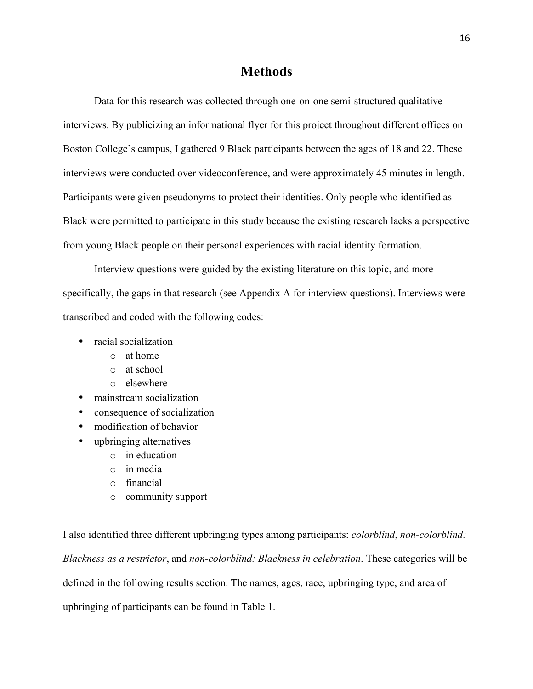## **Methods**

Data for this research was collected through one-on-one semi-structured qualitative interviews. By publicizing an informational flyer for this project throughout different offices on Boston College's campus, I gathered 9 Black participants between the ages of 18 and 22. These interviews were conducted over videoconference, and were approximately 45 minutes in length. Participants were given pseudonyms to protect their identities. Only people who identified as Black were permitted to participate in this study because the existing research lacks a perspective from young Black people on their personal experiences with racial identity formation.

Interview questions were guided by the existing literature on this topic, and more specifically, the gaps in that research (see Appendix A for interview questions). Interviews were transcribed and coded with the following codes:

- racial socialization
	- o at home
	- o at school
	- o elsewhere
- mainstream socialization
- consequence of socialization
- modification of behavior
- upbringing alternatives
	- o in education
	- o in media
	- o financial
	- o community support

I also identified three different upbringing types among participants: *colorblind*, *non-colorblind: Blackness as a restrictor*, and *non-colorblind: Blackness in celebration*. These categories will be defined in the following results section. The names, ages, race, upbringing type, and area of upbringing of participants can be found in Table 1.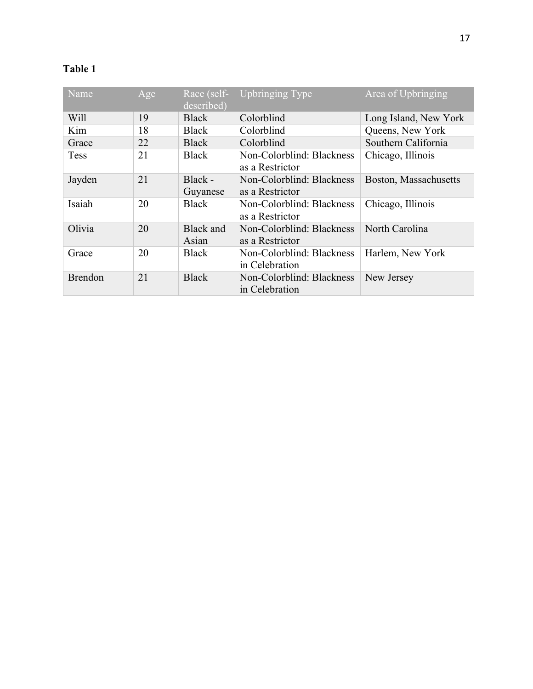## **Table 1**

| Name           | Age | Race (self-<br>described) | <b>Upbringing Type</b>                       | Area of Upbringing    |
|----------------|-----|---------------------------|----------------------------------------------|-----------------------|
| Will           | 19  | <b>Black</b>              | Colorblind                                   | Long Island, New York |
| Kim            | 18  | <b>Black</b>              | Colorblind                                   | Queens, New York      |
| Grace          | 22  | <b>Black</b>              | Colorblind                                   | Southern California   |
| <b>Tess</b>    | 21  | <b>Black</b>              | Non-Colorblind: Blackness<br>as a Restrictor | Chicago, Illinois     |
| Jayden         | 21  | Black -<br>Guyanese       | Non-Colorblind: Blackness<br>as a Restrictor | Boston, Massachusetts |
| Isaiah         | 20  | <b>Black</b>              | Non-Colorblind: Blackness<br>as a Restrictor | Chicago, Illinois     |
| Olivia         | 20  | <b>Black and</b><br>Asian | Non-Colorblind: Blackness<br>as a Restrictor | North Carolina        |
| Grace          | 20  | <b>Black</b>              | Non-Colorblind: Blackness<br>in Celebration  | Harlem, New York      |
| <b>Brendon</b> | 21  | <b>Black</b>              | Non-Colorblind: Blackness<br>in Celebration  | New Jersey            |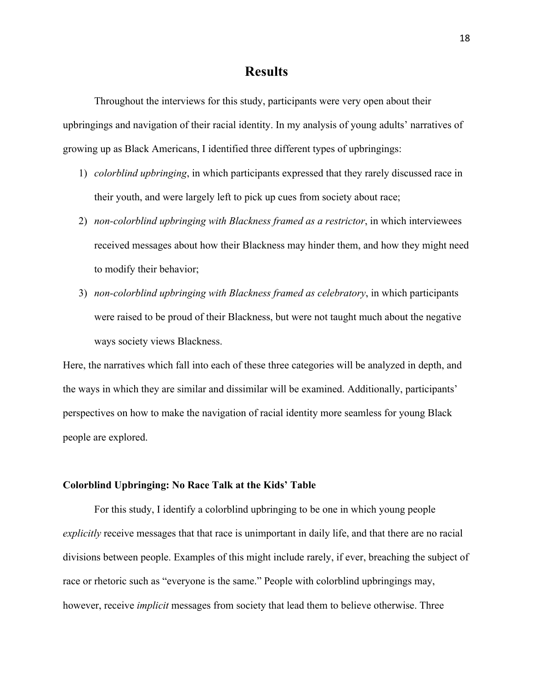## **Results**

Throughout the interviews for this study, participants were very open about their upbringings and navigation of their racial identity. In my analysis of young adults' narratives of growing up as Black Americans, I identified three different types of upbringings:

- 1) *colorblind upbringing*, in which participants expressed that they rarely discussed race in their youth, and were largely left to pick up cues from society about race;
- 2) *non-colorblind upbringing with Blackness framed as a restrictor*, in which interviewees received messages about how their Blackness may hinder them, and how they might need to modify their behavior;
- 3) *non-colorblind upbringing with Blackness framed as celebratory*, in which participants were raised to be proud of their Blackness, but were not taught much about the negative ways society views Blackness.

Here, the narratives which fall into each of these three categories will be analyzed in depth, and the ways in which they are similar and dissimilar will be examined. Additionally, participants' perspectives on how to make the navigation of racial identity more seamless for young Black people are explored.

### **Colorblind Upbringing: No Race Talk at the Kids' Table**

For this study, I identify a colorblind upbringing to be one in which young people *explicitly* receive messages that that race is unimportant in daily life, and that there are no racial divisions between people. Examples of this might include rarely, if ever, breaching the subject of race or rhetoric such as "everyone is the same." People with colorblind upbringings may, however, receive *implicit* messages from society that lead them to believe otherwise. Three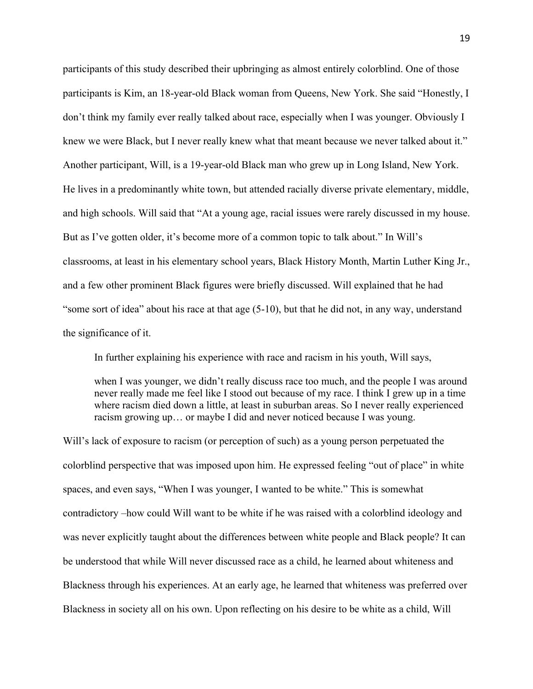participants of this study described their upbringing as almost entirely colorblind. One of those participants is Kim, an 18-year-old Black woman from Queens, New York. She said "Honestly, I don't think my family ever really talked about race, especially when I was younger. Obviously I knew we were Black, but I never really knew what that meant because we never talked about it." Another participant, Will, is a 19-year-old Black man who grew up in Long Island, New York. He lives in a predominantly white town, but attended racially diverse private elementary, middle, and high schools. Will said that "At a young age, racial issues were rarely discussed in my house. But as I've gotten older, it's become more of a common topic to talk about." In Will's classrooms, at least in his elementary school years, Black History Month, Martin Luther King Jr., and a few other prominent Black figures were briefly discussed. Will explained that he had "some sort of idea" about his race at that age (5-10), but that he did not, in any way, understand the significance of it.

In further explaining his experience with race and racism in his youth, Will says,

when I was younger, we didn't really discuss race too much, and the people I was around never really made me feel like I stood out because of my race. I think I grew up in a time where racism died down a little, at least in suburban areas. So I never really experienced racism growing up… or maybe I did and never noticed because I was young.

Will's lack of exposure to racism (or perception of such) as a young person perpetuated the colorblind perspective that was imposed upon him. He expressed feeling "out of place" in white spaces, and even says, "When I was younger, I wanted to be white." This is somewhat contradictory –how could Will want to be white if he was raised with a colorblind ideology and was never explicitly taught about the differences between white people and Black people? It can be understood that while Will never discussed race as a child, he learned about whiteness and Blackness through his experiences. At an early age, he learned that whiteness was preferred over Blackness in society all on his own. Upon reflecting on his desire to be white as a child, Will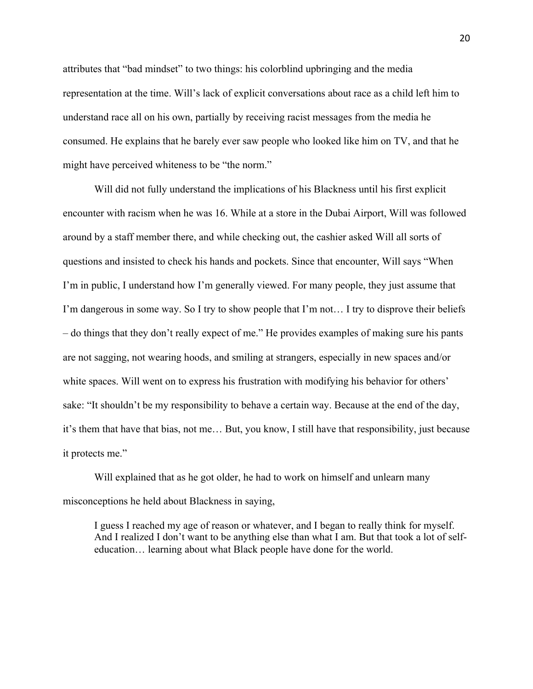attributes that "bad mindset" to two things: his colorblind upbringing and the media representation at the time. Will's lack of explicit conversations about race as a child left him to understand race all on his own, partially by receiving racist messages from the media he consumed. He explains that he barely ever saw people who looked like him on TV, and that he might have perceived whiteness to be "the norm."

Will did not fully understand the implications of his Blackness until his first explicit encounter with racism when he was 16. While at a store in the Dubai Airport, Will was followed around by a staff member there, and while checking out, the cashier asked Will all sorts of questions and insisted to check his hands and pockets. Since that encounter, Will says "When I'm in public, I understand how I'm generally viewed. For many people, they just assume that I'm dangerous in some way. So I try to show people that I'm not… I try to disprove their beliefs – do things that they don't really expect of me." He provides examples of making sure his pants are not sagging, not wearing hoods, and smiling at strangers, especially in new spaces and/or white spaces. Will went on to express his frustration with modifying his behavior for others' sake: "It shouldn't be my responsibility to behave a certain way. Because at the end of the day, it's them that have that bias, not me… But, you know, I still have that responsibility, just because it protects me."

Will explained that as he got older, he had to work on himself and unlearn many misconceptions he held about Blackness in saying,

I guess I reached my age of reason or whatever, and I began to really think for myself. And I realized I don't want to be anything else than what I am. But that took a lot of selfeducation… learning about what Black people have done for the world.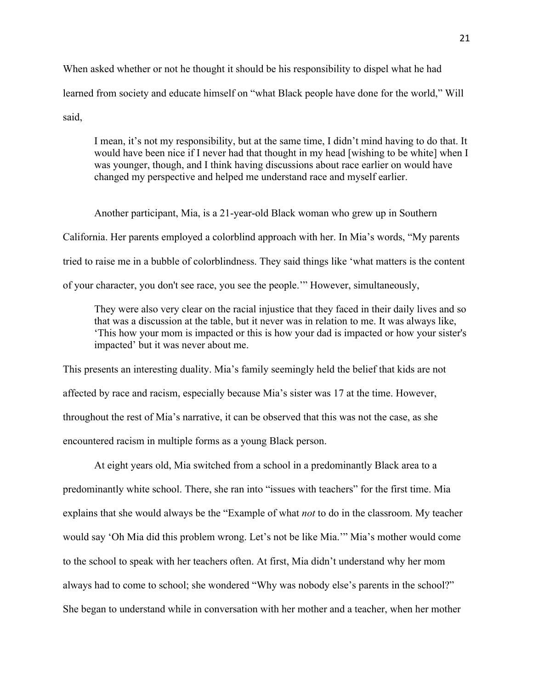When asked whether or not he thought it should be his responsibility to dispel what he had learned from society and educate himself on "what Black people have done for the world," Will said,

I mean, it's not my responsibility, but at the same time, I didn't mind having to do that. It would have been nice if I never had that thought in my head [wishing to be white] when I was younger, though, and I think having discussions about race earlier on would have changed my perspective and helped me understand race and myself earlier.

Another participant, Mia, is a 21-year-old Black woman who grew up in Southern California. Her parents employed a colorblind approach with her. In Mia's words, "My parents tried to raise me in a bubble of colorblindness. They said things like 'what matters is the content of your character, you don't see race, you see the people.'" However, simultaneously,

They were also very clear on the racial injustice that they faced in their daily lives and so that was a discussion at the table, but it never was in relation to me. It was always like, 'This how your mom is impacted or this is how your dad is impacted or how your sister's impacted' but it was never about me.

This presents an interesting duality. Mia's family seemingly held the belief that kids are not affected by race and racism, especially because Mia's sister was 17 at the time. However, throughout the rest of Mia's narrative, it can be observed that this was not the case, as she encountered racism in multiple forms as a young Black person.

At eight years old, Mia switched from a school in a predominantly Black area to a predominantly white school. There, she ran into "issues with teachers" for the first time. Mia explains that she would always be the "Example of what *not* to do in the classroom. My teacher would say 'Oh Mia did this problem wrong. Let's not be like Mia.'" Mia's mother would come to the school to speak with her teachers often. At first, Mia didn't understand why her mom always had to come to school; she wondered "Why was nobody else's parents in the school?" She began to understand while in conversation with her mother and a teacher, when her mother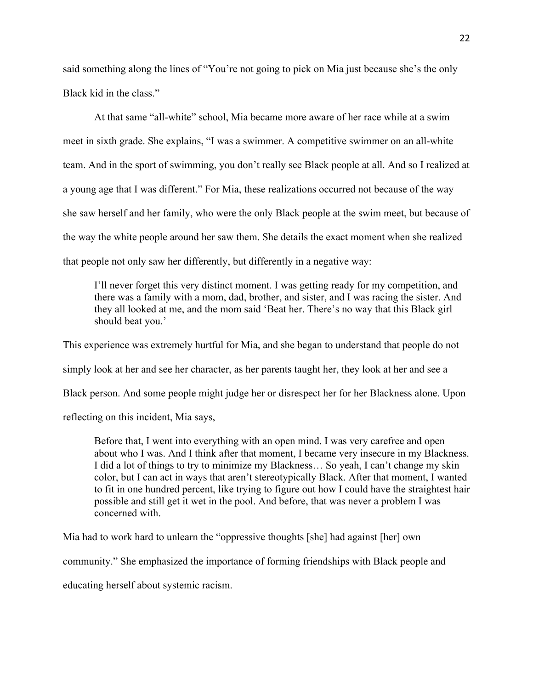said something along the lines of "You're not going to pick on Mia just because she's the only Black kid in the class."

At that same "all-white" school, Mia became more aware of her race while at a swim meet in sixth grade. She explains, "I was a swimmer. A competitive swimmer on an all-white team. And in the sport of swimming, you don't really see Black people at all. And so I realized at a young age that I was different." For Mia, these realizations occurred not because of the way she saw herself and her family, who were the only Black people at the swim meet, but because of the way the white people around her saw them. She details the exact moment when she realized that people not only saw her differently, but differently in a negative way:

I'll never forget this very distinct moment. I was getting ready for my competition, and there was a family with a mom, dad, brother, and sister, and I was racing the sister. And they all looked at me, and the mom said 'Beat her. There's no way that this Black girl should beat you.'

This experience was extremely hurtful for Mia, and she began to understand that people do not simply look at her and see her character, as her parents taught her, they look at her and see a Black person. And some people might judge her or disrespect her for her Blackness alone. Upon reflecting on this incident, Mia says,

Before that, I went into everything with an open mind. I was very carefree and open about who I was. And I think after that moment, I became very insecure in my Blackness. I did a lot of things to try to minimize my Blackness… So yeah, I can't change my skin color, but I can act in ways that aren't stereotypically Black. After that moment, I wanted to fit in one hundred percent, like trying to figure out how I could have the straightest hair possible and still get it wet in the pool. And before, that was never a problem I was concerned with.

Mia had to work hard to unlearn the "oppressive thoughts [she] had against [her] own

community." She emphasized the importance of forming friendships with Black people and

educating herself about systemic racism.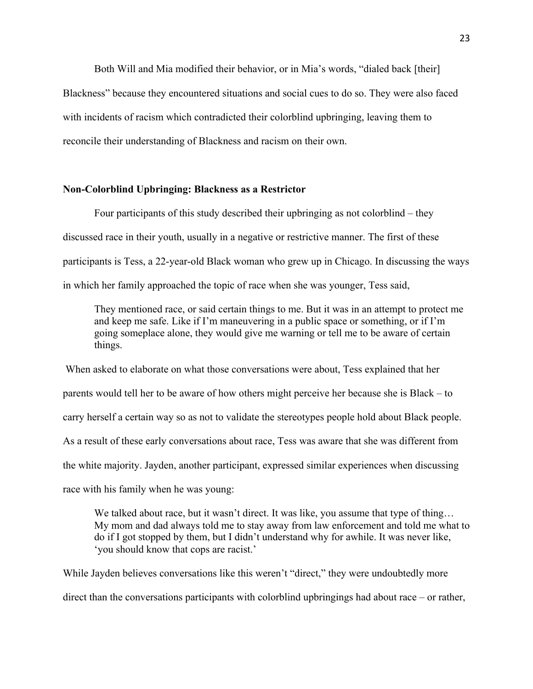Both Will and Mia modified their behavior, or in Mia's words, "dialed back [their] Blackness" because they encountered situations and social cues to do so. They were also faced with incidents of racism which contradicted their colorblind upbringing, leaving them to reconcile their understanding of Blackness and racism on their own.

### **Non-Colorblind Upbringing: Blackness as a Restrictor**

Four participants of this study described their upbringing as not colorblind – they discussed race in their youth, usually in a negative or restrictive manner. The first of these participants is Tess, a 22-year-old Black woman who grew up in Chicago. In discussing the ways in which her family approached the topic of race when she was younger, Tess said,

They mentioned race, or said certain things to me. But it was in an attempt to protect me and keep me safe. Like if I'm maneuvering in a public space or something, or if I'm going someplace alone, they would give me warning or tell me to be aware of certain things.

When asked to elaborate on what those conversations were about, Tess explained that her parents would tell her to be aware of how others might perceive her because she is Black – to carry herself a certain way so as not to validate the stereotypes people hold about Black people. As a result of these early conversations about race, Tess was aware that she was different from the white majority. Jayden, another participant, expressed similar experiences when discussing race with his family when he was young:

We talked about race, but it wasn't direct. It was like, you assume that type of thing... My mom and dad always told me to stay away from law enforcement and told me what to do if I got stopped by them, but I didn't understand why for awhile. It was never like, 'you should know that cops are racist.'

While Jayden believes conversations like this weren't "direct," they were undoubtedly more direct than the conversations participants with colorblind upbringings had about race – or rather,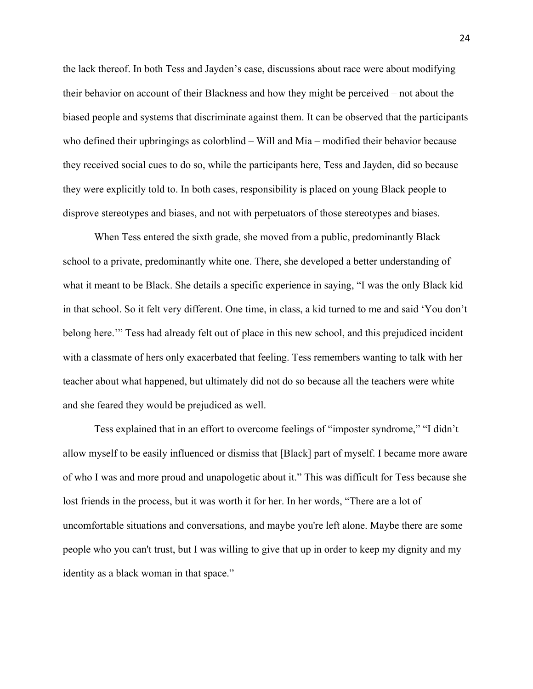the lack thereof. In both Tess and Jayden's case, discussions about race were about modifying their behavior on account of their Blackness and how they might be perceived – not about the biased people and systems that discriminate against them. It can be observed that the participants who defined their upbringings as colorblind – Will and Mia – modified their behavior because they received social cues to do so, while the participants here, Tess and Jayden, did so because they were explicitly told to. In both cases, responsibility is placed on young Black people to disprove stereotypes and biases, and not with perpetuators of those stereotypes and biases.

When Tess entered the sixth grade, she moved from a public, predominantly Black school to a private, predominantly white one. There, she developed a better understanding of what it meant to be Black. She details a specific experience in saying, "I was the only Black kid in that school. So it felt very different. One time, in class, a kid turned to me and said 'You don't belong here.'" Tess had already felt out of place in this new school, and this prejudiced incident with a classmate of hers only exacerbated that feeling. Tess remembers wanting to talk with her teacher about what happened, but ultimately did not do so because all the teachers were white and she feared they would be prejudiced as well.

Tess explained that in an effort to overcome feelings of "imposter syndrome," "I didn't allow myself to be easily influenced or dismiss that [Black] part of myself. I became more aware of who I was and more proud and unapologetic about it." This was difficult for Tess because she lost friends in the process, but it was worth it for her. In her words, "There are a lot of uncomfortable situations and conversations, and maybe you're left alone. Maybe there are some people who you can't trust, but I was willing to give that up in order to keep my dignity and my identity as a black woman in that space."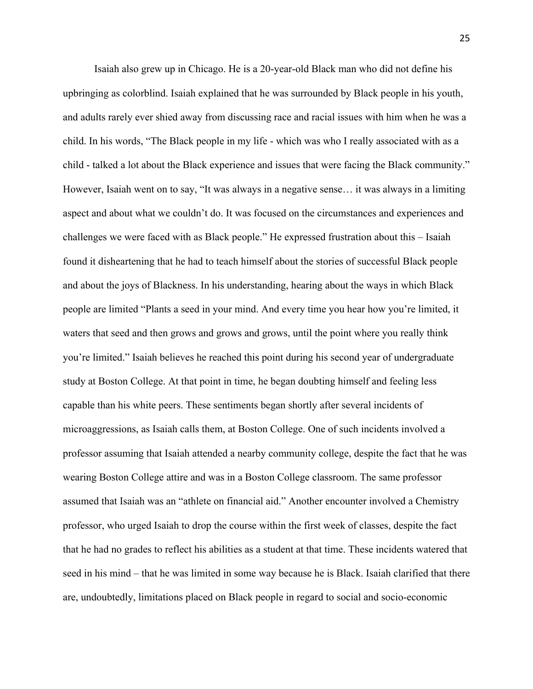Isaiah also grew up in Chicago. He is a 20-year-old Black man who did not define his upbringing as colorblind. Isaiah explained that he was surrounded by Black people in his youth, and adults rarely ever shied away from discussing race and racial issues with him when he was a child. In his words, "The Black people in my life - which was who I really associated with as a child - talked a lot about the Black experience and issues that were facing the Black community." However, Isaiah went on to say, "It was always in a negative sense… it was always in a limiting aspect and about what we couldn't do. It was focused on the circumstances and experiences and challenges we were faced with as Black people." He expressed frustration about this – Isaiah found it disheartening that he had to teach himself about the stories of successful Black people and about the joys of Blackness. In his understanding, hearing about the ways in which Black people are limited "Plants a seed in your mind. And every time you hear how you're limited, it waters that seed and then grows and grows and grows, until the point where you really think you're limited." Isaiah believes he reached this point during his second year of undergraduate study at Boston College. At that point in time, he began doubting himself and feeling less capable than his white peers. These sentiments began shortly after several incidents of microaggressions, as Isaiah calls them, at Boston College. One of such incidents involved a professor assuming that Isaiah attended a nearby community college, despite the fact that he was wearing Boston College attire and was in a Boston College classroom. The same professor assumed that Isaiah was an "athlete on financial aid." Another encounter involved a Chemistry professor, who urged Isaiah to drop the course within the first week of classes, despite the fact that he had no grades to reflect his abilities as a student at that time. These incidents watered that seed in his mind – that he was limited in some way because he is Black. Isaiah clarified that there are, undoubtedly, limitations placed on Black people in regard to social and socio-economic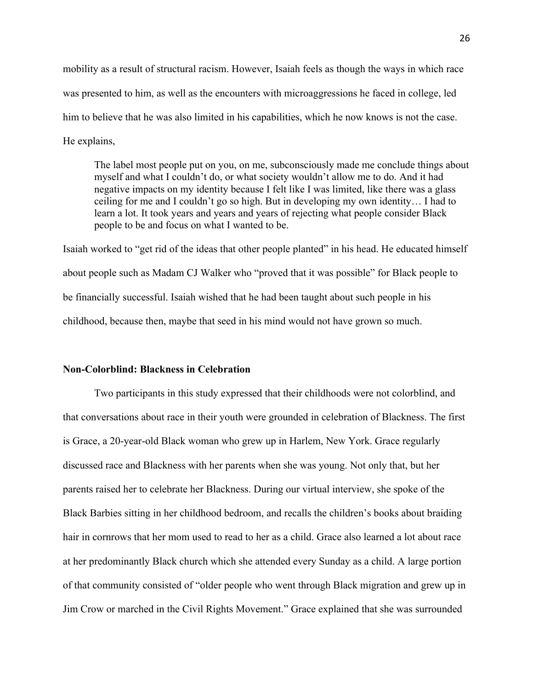mobility as a result of structural racism. However, Isaiah feels as though the ways in which race was presented to him, as well as the encounters with microaggressions he faced in college, led him to believe that he was also limited in his capabilities, which he now knows is not the case. He explains,

The label most people put on you, on me, subconsciously made me conclude things about myself and what I couldn't do, or what society wouldn't allow me to do. And it had negative impacts on my identity because I felt like I was limited, like there was a glass ceiling for me and I couldn't go so high. But in developing my own identity… I had to learn a lot. It took years and years and years of rejecting what people consider Black people to be and focus on what I wanted to be.

Isaiah worked to "get rid of the ideas that other people planted" in his head. He educated himself about people such as Madam CJ Walker who "proved that it was possible" for Black people to be financially successful. Isaiah wished that he had been taught about such people in his childhood, because then, maybe that seed in his mind would not have grown so much.

### **Non-Colorblind: Blackness in Celebration**

Two participants in this study expressed that their childhoods were not colorblind, and that conversations about race in their youth were grounded in celebration of Blackness. The first is Grace, a 20-year-old Black woman who grew up in Harlem, New York. Grace regularly discussed race and Blackness with her parents when she was young. Not only that, but her parents raised her to celebrate her Blackness. During our virtual interview, she spoke of the Black Barbies sitting in her childhood bedroom, and recalls the children's books about braiding hair in cornrows that her mom used to read to her as a child. Grace also learned a lot about race at her predominantly Black church which she attended every Sunday as a child. A large portion of that community consisted of "older people who went through Black migration and grew up in Jim Crow or marched in the Civil Rights Movement." Grace explained that she was surrounded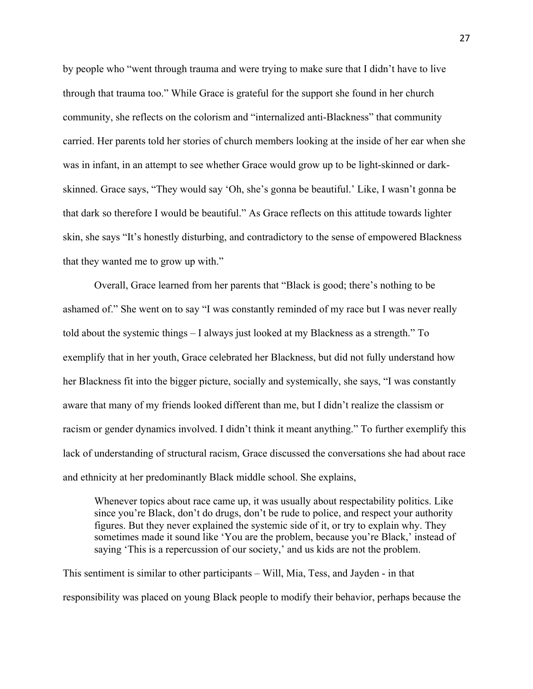by people who "went through trauma and were trying to make sure that I didn't have to live through that trauma too." While Grace is grateful for the support she found in her church community, she reflects on the colorism and "internalized anti-Blackness" that community carried. Her parents told her stories of church members looking at the inside of her ear when she was in infant, in an attempt to see whether Grace would grow up to be light-skinned or darkskinned. Grace says, "They would say 'Oh, she's gonna be beautiful.' Like, I wasn't gonna be that dark so therefore I would be beautiful." As Grace reflects on this attitude towards lighter skin, she says "It's honestly disturbing, and contradictory to the sense of empowered Blackness that they wanted me to grow up with."

Overall, Grace learned from her parents that "Black is good; there's nothing to be ashamed of." She went on to say "I was constantly reminded of my race but I was never really told about the systemic things – I always just looked at my Blackness as a strength." To exemplify that in her youth, Grace celebrated her Blackness, but did not fully understand how her Blackness fit into the bigger picture, socially and systemically, she says, "I was constantly aware that many of my friends looked different than me, but I didn't realize the classism or racism or gender dynamics involved. I didn't think it meant anything." To further exemplify this lack of understanding of structural racism, Grace discussed the conversations she had about race and ethnicity at her predominantly Black middle school. She explains,

Whenever topics about race came up, it was usually about respectability politics. Like since you're Black, don't do drugs, don't be rude to police, and respect your authority figures. But they never explained the systemic side of it, or try to explain why. They sometimes made it sound like 'You are the problem, because you're Black,' instead of saying 'This is a repercussion of our society,' and us kids are not the problem.

This sentiment is similar to other participants – Will, Mia, Tess, and Jayden - in that responsibility was placed on young Black people to modify their behavior, perhaps because the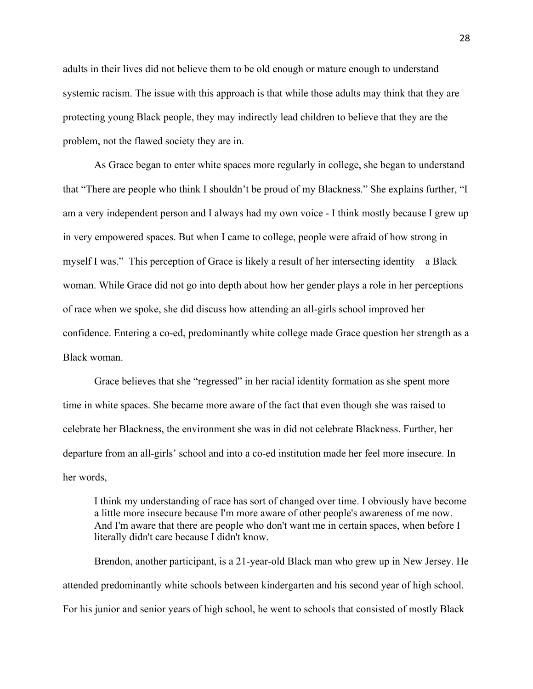adults in their lives did not believe them to be old enough or mature enough to understand systemic racism. The issue with this approach is that while those adults may think that they are protecting young Black people, they may indirectly lead children to believe that they are the problem, not the flawed society they are in.

As Grace began to enter white spaces more regularly in college, she began to understand that "There are people who think I shouldn't be proud of my Blackness." She explains further, "I am a very independent person and I always had my own voice - I think mostly because I grew up in very empowered spaces. But when I came to college, people were afraid of how strong in myself I was." This perception of Grace is likely a result of her intersecting identity – a Black woman. While Grace did not go into depth about how her gender plays a role in her perceptions of race when we spoke, she did discuss how attending an all-girls school improved her confidence. Entering a co-ed, predominantly white college made Grace question her strength as a Black woman.

Grace believes that she "regressed" in her racial identity formation as she spent more time in white spaces. She became more aware of the fact that even though she was raised to celebrate her Blackness, the environment she was in did not celebrate Blackness. Further, her departure from an all-girls' school and into a co-ed institution made her feel more insecure. In her words,

I think my understanding of race has sort of changed over time. I obviously have become a little more insecure because I'm more aware of other people's awareness of me now. And I'm aware that there are people who don't want me in certain spaces, when before I literally didn't care because I didn't know.

Brendon, another participant, is a 21-year-old Black man who grew up in New Jersey. He attended predominantly white schools between kindergarten and his second year of high school. For his junior and senior years of high school, he went to schools that consisted of mostly Black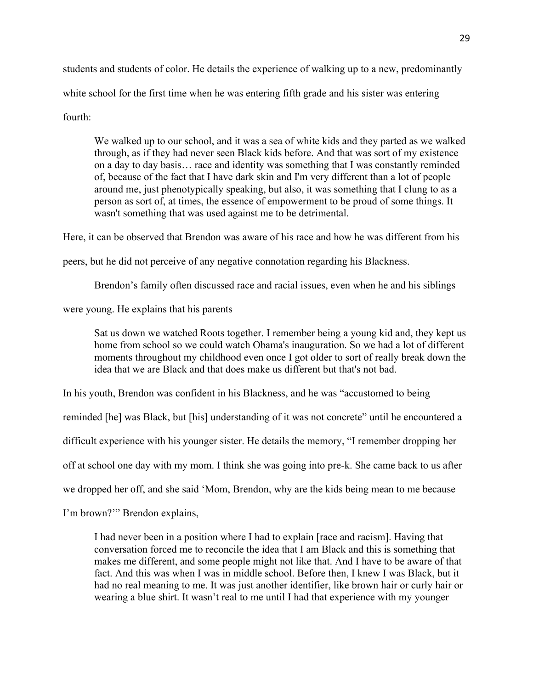students and students of color. He details the experience of walking up to a new, predominantly white school for the first time when he was entering fifth grade and his sister was entering fourth:

We walked up to our school, and it was a sea of white kids and they parted as we walked through, as if they had never seen Black kids before. And that was sort of my existence on a day to day basis… race and identity was something that I was constantly reminded of, because of the fact that I have dark skin and I'm very different than a lot of people around me, just phenotypically speaking, but also, it was something that I clung to as a person as sort of, at times, the essence of empowerment to be proud of some things. It wasn't something that was used against me to be detrimental.

Here, it can be observed that Brendon was aware of his race and how he was different from his

peers, but he did not perceive of any negative connotation regarding his Blackness.

Brendon's family often discussed race and racial issues, even when he and his siblings

were young. He explains that his parents

Sat us down we watched Roots together. I remember being a young kid and, they kept us home from school so we could watch Obama's inauguration. So we had a lot of different moments throughout my childhood even once I got older to sort of really break down the idea that we are Black and that does make us different but that's not bad.

In his youth, Brendon was confident in his Blackness, and he was "accustomed to being

reminded [he] was Black, but [his] understanding of it was not concrete" until he encountered a

difficult experience with his younger sister. He details the memory, "I remember dropping her

off at school one day with my mom. I think she was going into pre-k. She came back to us after

we dropped her off, and she said 'Mom, Brendon, why are the kids being mean to me because

I'm brown?'" Brendon explains,

I had never been in a position where I had to explain [race and racism]. Having that conversation forced me to reconcile the idea that I am Black and this is something that makes me different, and some people might not like that. And I have to be aware of that fact. And this was when I was in middle school. Before then, I knew I was Black, but it had no real meaning to me. It was just another identifier, like brown hair or curly hair or wearing a blue shirt. It wasn't real to me until I had that experience with my younger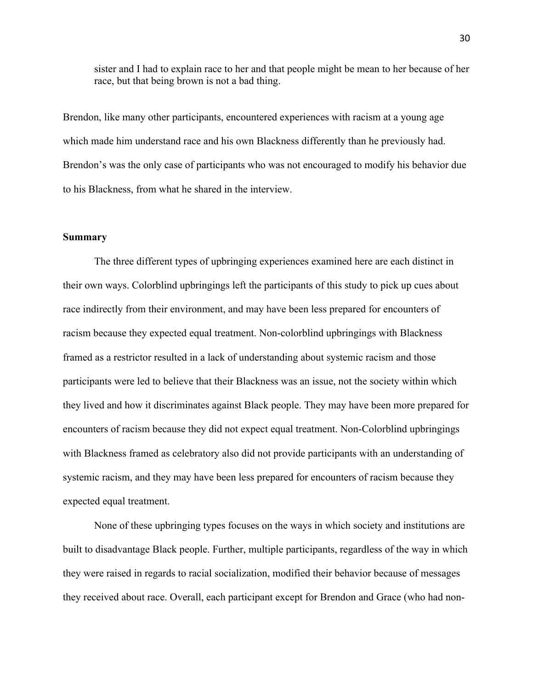sister and I had to explain race to her and that people might be mean to her because of her race, but that being brown is not a bad thing.

Brendon, like many other participants, encountered experiences with racism at a young age which made him understand race and his own Blackness differently than he previously had. Brendon's was the only case of participants who was not encouraged to modify his behavior due to his Blackness, from what he shared in the interview.

### **Summary**

The three different types of upbringing experiences examined here are each distinct in their own ways. Colorblind upbringings left the participants of this study to pick up cues about race indirectly from their environment, and may have been less prepared for encounters of racism because they expected equal treatment. Non-colorblind upbringings with Blackness framed as a restrictor resulted in a lack of understanding about systemic racism and those participants were led to believe that their Blackness was an issue, not the society within which they lived and how it discriminates against Black people. They may have been more prepared for encounters of racism because they did not expect equal treatment. Non-Colorblind upbringings with Blackness framed as celebratory also did not provide participants with an understanding of systemic racism, and they may have been less prepared for encounters of racism because they expected equal treatment.

None of these upbringing types focuses on the ways in which society and institutions are built to disadvantage Black people. Further, multiple participants, regardless of the way in which they were raised in regards to racial socialization, modified their behavior because of messages they received about race. Overall, each participant except for Brendon and Grace (who had non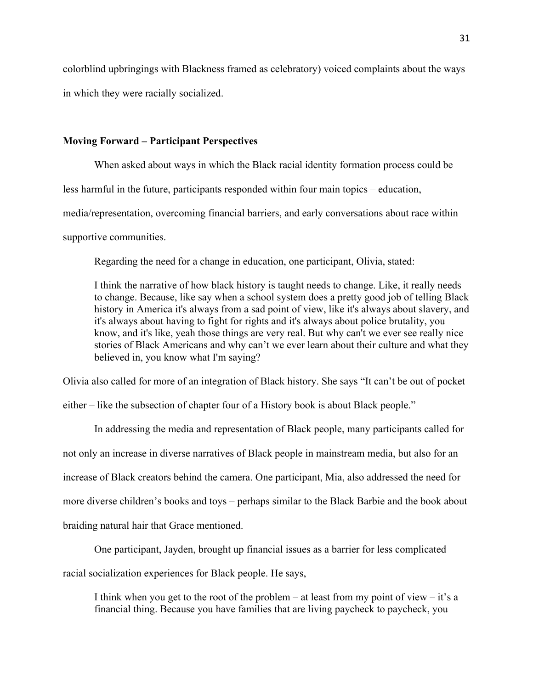colorblind upbringings with Blackness framed as celebratory) voiced complaints about the ways in which they were racially socialized.

### **Moving Forward – Participant Perspectives**

When asked about ways in which the Black racial identity formation process could be

less harmful in the future, participants responded within four main topics – education,

media/representation, overcoming financial barriers, and early conversations about race within

supportive communities.

Regarding the need for a change in education, one participant, Olivia, stated:

I think the narrative of how black history is taught needs to change. Like, it really needs to change. Because, like say when a school system does a pretty good job of telling Black history in America it's always from a sad point of view, like it's always about slavery, and it's always about having to fight for rights and it's always about police brutality, you know, and it's like, yeah those things are very real. But why can't we ever see really nice stories of Black Americans and why can't we ever learn about their culture and what they believed in, you know what I'm saying?

Olivia also called for more of an integration of Black history. She says "It can't be out of pocket

either – like the subsection of chapter four of a History book is about Black people."

In addressing the media and representation of Black people, many participants called for not only an increase in diverse narratives of Black people in mainstream media, but also for an increase of Black creators behind the camera. One participant, Mia, also addressed the need for more diverse children's books and toys – perhaps similar to the Black Barbie and the book about braiding natural hair that Grace mentioned.

One participant, Jayden, brought up financial issues as a barrier for less complicated

racial socialization experiences for Black people. He says,

I think when you get to the root of the problem – at least from my point of view – it's a financial thing. Because you have families that are living paycheck to paycheck, you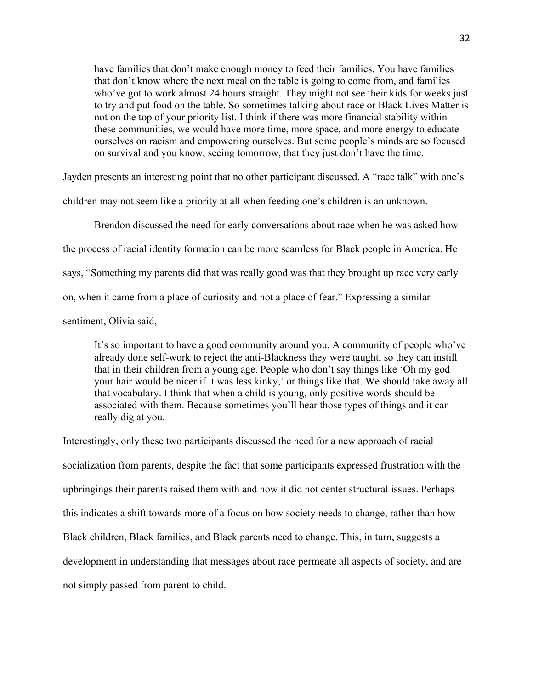have families that don't make enough money to feed their families. You have families that don't know where the next meal on the table is going to come from, and families who've got to work almost 24 hours straight. They might not see their kids for weeks just to try and put food on the table. So sometimes talking about race or Black Lives Matter is not on the top of your priority list. I think if there was more financial stability within these communities, we would have more time, more space, and more energy to educate ourselves on racism and empowering ourselves. But some people's minds are so focused on survival and you know, seeing tomorrow, that they just don't have the time.

Jayden presents an interesting point that no other participant discussed. A "race talk" with one's children may not seem like a priority at all when feeding one's children is an unknown.

Brendon discussed the need for early conversations about race when he was asked how the process of racial identity formation can be more seamless for Black people in America. He says, "Something my parents did that was really good was that they brought up race very early on, when it came from a place of curiosity and not a place of fear." Expressing a similar sentiment, Olivia said,

It's so important to have a good community around you. A community of people who've already done self-work to reject the anti-Blackness they were taught, so they can instill that in their children from a young age. People who don't say things like 'Oh my god your hair would be nicer if it was less kinky,' or things like that. We should take away all that vocabulary. I think that when a child is young, only positive words should be associated with them. Because sometimes you'll hear those types of things and it can really dig at you.

Interestingly, only these two participants discussed the need for a new approach of racial socialization from parents, despite the fact that some participants expressed frustration with the upbringings their parents raised them with and how it did not center structural issues. Perhaps this indicates a shift towards more of a focus on how society needs to change, rather than how Black children, Black families, and Black parents need to change. This, in turn, suggests a development in understanding that messages about race permeate all aspects of society, and are not simply passed from parent to child.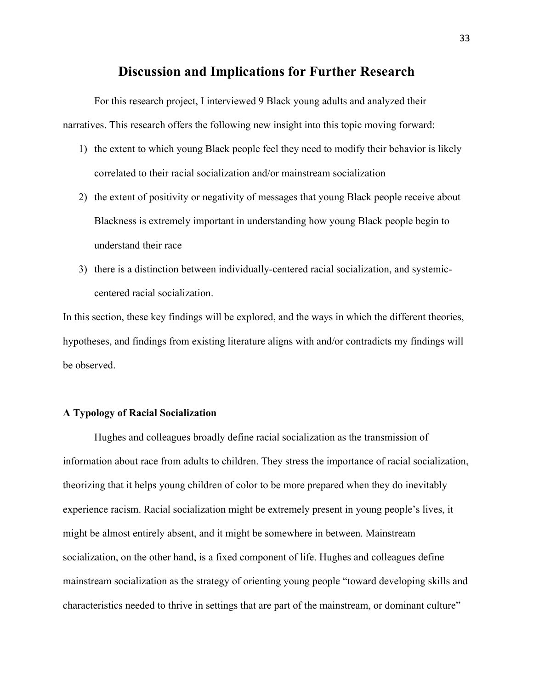## **Discussion and Implications for Further Research**

For this research project, I interviewed 9 Black young adults and analyzed their narratives. This research offers the following new insight into this topic moving forward:

- 1) the extent to which young Black people feel they need to modify their behavior is likely correlated to their racial socialization and/or mainstream socialization
- 2) the extent of positivity or negativity of messages that young Black people receive about Blackness is extremely important in understanding how young Black people begin to understand their race
- 3) there is a distinction between individually-centered racial socialization, and systemiccentered racial socialization.

In this section, these key findings will be explored, and the ways in which the different theories, hypotheses, and findings from existing literature aligns with and/or contradicts my findings will be observed.

### **A Typology of Racial Socialization**

Hughes and colleagues broadly define racial socialization as the transmission of information about race from adults to children. They stress the importance of racial socialization, theorizing that it helps young children of color to be more prepared when they do inevitably experience racism. Racial socialization might be extremely present in young people's lives, it might be almost entirely absent, and it might be somewhere in between. Mainstream socialization, on the other hand, is a fixed component of life. Hughes and colleagues define mainstream socialization as the strategy of orienting young people "toward developing skills and characteristics needed to thrive in settings that are part of the mainstream, or dominant culture"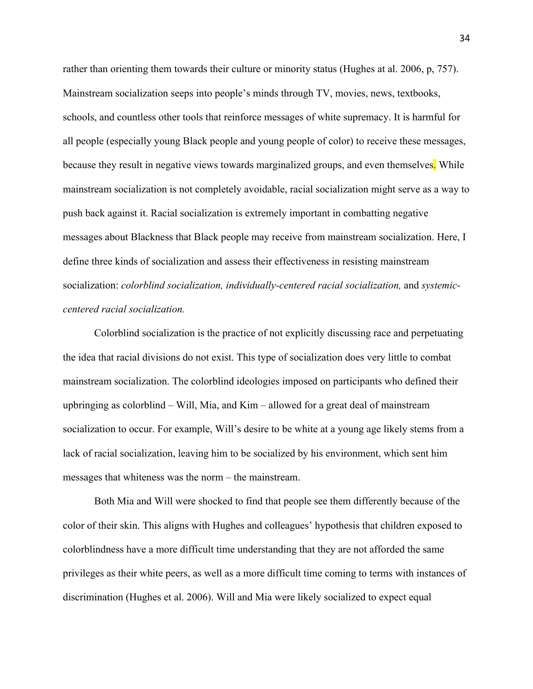rather than orienting them towards their culture or minority status (Hughes at al. 2006, p, 757). Mainstream socialization seeps into people's minds through TV, movies, news, textbooks, schools, and countless other tools that reinforce messages of white supremacy. It is harmful for all people (especially young Black people and young people of color) to receive these messages, because they result in negative views towards marginalized groups, and even themselves. While mainstream socialization is not completely avoidable, racial socialization might serve as a way to push back against it. Racial socialization is extremely important in combatting negative messages about Blackness that Black people may receive from mainstream socialization. Here, I define three kinds of socialization and assess their effectiveness in resisting mainstream socialization: *colorblind socialization, individually-centered racial socialization,* and *systemiccentered racial socialization.*

Colorblind socialization is the practice of not explicitly discussing race and perpetuating the idea that racial divisions do not exist. This type of socialization does very little to combat mainstream socialization. The colorblind ideologies imposed on participants who defined their upbringing as colorblind – Will, Mia, and Kim – allowed for a great deal of mainstream socialization to occur. For example, Will's desire to be white at a young age likely stems from a lack of racial socialization, leaving him to be socialized by his environment, which sent him messages that whiteness was the norm – the mainstream.

Both Mia and Will were shocked to find that people see them differently because of the color of their skin. This aligns with Hughes and colleagues' hypothesis that children exposed to colorblindness have a more difficult time understanding that they are not afforded the same privileges as their white peers, as well as a more difficult time coming to terms with instances of discrimination (Hughes et al. 2006). Will and Mia were likely socialized to expect equal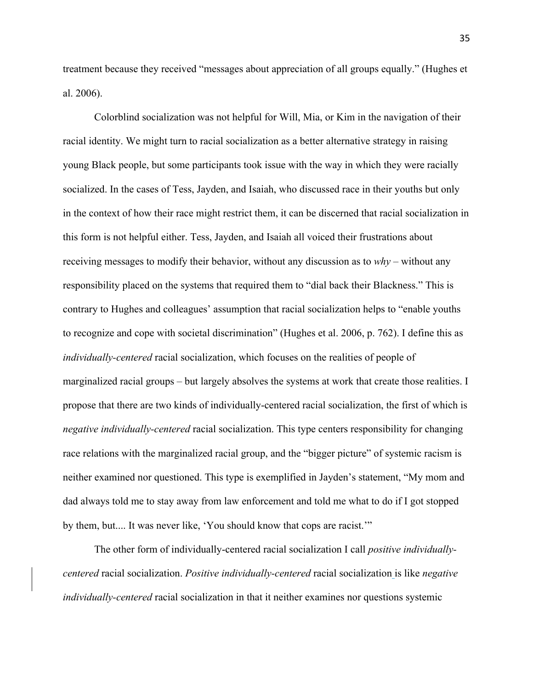treatment because they received "messages about appreciation of all groups equally." (Hughes et al. 2006).

Colorblind socialization was not helpful for Will, Mia, or Kim in the navigation of their racial identity. We might turn to racial socialization as a better alternative strategy in raising young Black people, but some participants took issue with the way in which they were racially socialized. In the cases of Tess, Jayden, and Isaiah, who discussed race in their youths but only in the context of how their race might restrict them, it can be discerned that racial socialization in this form is not helpful either. Tess, Jayden, and Isaiah all voiced their frustrations about receiving messages to modify their behavior, without any discussion as to *why –* without any responsibility placed on the systems that required them to "dial back their Blackness." This is contrary to Hughes and colleagues' assumption that racial socialization helps to "enable youths to recognize and cope with societal discrimination" (Hughes et al. 2006, p. 762). I define this as *individually-centered* racial socialization, which focuses on the realities of people of marginalized racial groups – but largely absolves the systems at work that create those realities. I propose that there are two kinds of individually-centered racial socialization, the first of which is *negative individually-centered* racial socialization. This type centers responsibility for changing race relations with the marginalized racial group, and the "bigger picture" of systemic racism is neither examined nor questioned. This type is exemplified in Jayden's statement, "My mom and dad always told me to stay away from law enforcement and told me what to do if I got stopped by them, but.... It was never like, 'You should know that cops are racist.'"

The other form of individually-centered racial socialization I call *positive individuallycentered* racial socialization. *Positive individually-centered* racial socialization is like *negative individually-centered* racial socialization in that it neither examines nor questions systemic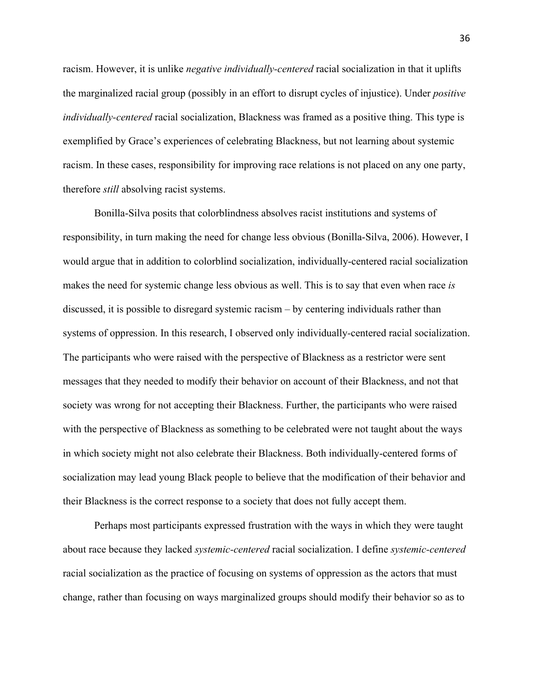racism. However, it is unlike *negative individually-centered* racial socialization in that it uplifts the marginalized racial group (possibly in an effort to disrupt cycles of injustice). Under *positive individually-centered* racial socialization, Blackness was framed as a positive thing. This type is exemplified by Grace's experiences of celebrating Blackness, but not learning about systemic racism. In these cases, responsibility for improving race relations is not placed on any one party, therefore *still* absolving racist systems.

Bonilla-Silva posits that colorblindness absolves racist institutions and systems of responsibility, in turn making the need for change less obvious (Bonilla-Silva, 2006). However, I would argue that in addition to colorblind socialization, individually-centered racial socialization makes the need for systemic change less obvious as well. This is to say that even when race *is*  discussed, it is possible to disregard systemic racism – by centering individuals rather than systems of oppression. In this research, I observed only individually*-*centered racial socialization. The participants who were raised with the perspective of Blackness as a restrictor were sent messages that they needed to modify their behavior on account of their Blackness, and not that society was wrong for not accepting their Blackness. Further, the participants who were raised with the perspective of Blackness as something to be celebrated were not taught about the ways in which society might not also celebrate their Blackness. Both individually-centered forms of socialization may lead young Black people to believe that the modification of their behavior and their Blackness is the correct response to a society that does not fully accept them.

Perhaps most participants expressed frustration with the ways in which they were taught about race because they lacked *systemic-centered* racial socialization. I define *systemic-centered*  racial socialization as the practice of focusing on systems of oppression as the actors that must change, rather than focusing on ways marginalized groups should modify their behavior so as to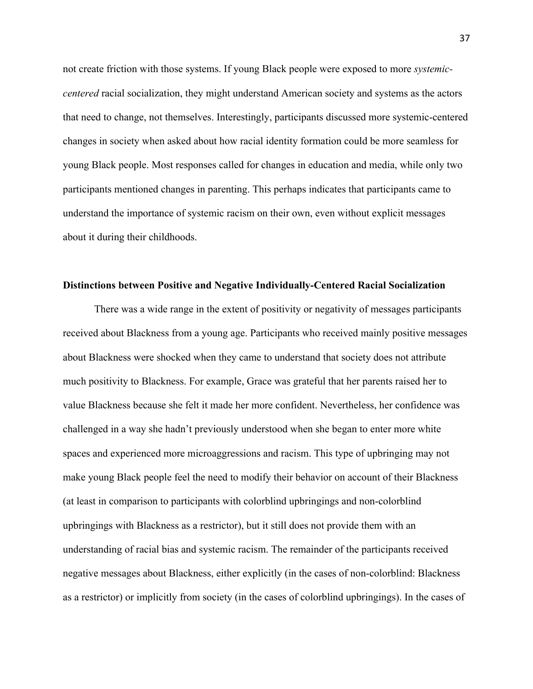not create friction with those systems. If young Black people were exposed to more *systemiccentered* racial socialization, they might understand American society and systems as the actors that need to change, not themselves. Interestingly, participants discussed more systemic-centered changes in society when asked about how racial identity formation could be more seamless for young Black people. Most responses called for changes in education and media, while only two participants mentioned changes in parenting. This perhaps indicates that participants came to understand the importance of systemic racism on their own, even without explicit messages about it during their childhoods.

### **Distinctions between Positive and Negative Individually-Centered Racial Socialization**

There was a wide range in the extent of positivity or negativity of messages participants received about Blackness from a young age. Participants who received mainly positive messages about Blackness were shocked when they came to understand that society does not attribute much positivity to Blackness. For example, Grace was grateful that her parents raised her to value Blackness because she felt it made her more confident. Nevertheless, her confidence was challenged in a way she hadn't previously understood when she began to enter more white spaces and experienced more microaggressions and racism. This type of upbringing may not make young Black people feel the need to modify their behavior on account of their Blackness (at least in comparison to participants with colorblind upbringings and non-colorblind upbringings with Blackness as a restrictor), but it still does not provide them with an understanding of racial bias and systemic racism. The remainder of the participants received negative messages about Blackness, either explicitly (in the cases of non-colorblind: Blackness as a restrictor) or implicitly from society (in the cases of colorblind upbringings). In the cases of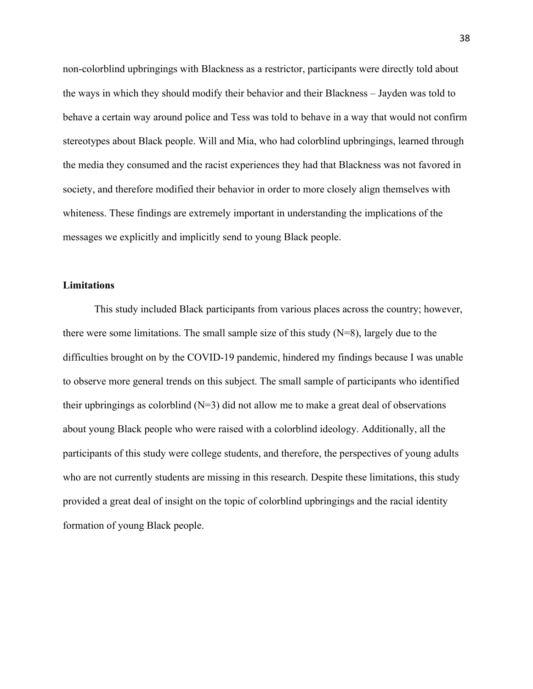non-colorblind upbringings with Blackness as a restrictor, participants were directly told about the ways in which they should modify their behavior and their Blackness – Jayden was told to behave a certain way around police and Tess was told to behave in a way that would not confirm stereotypes about Black people. Will and Mia, who had colorblind upbringings, learned through the media they consumed and the racist experiences they had that Blackness was not favored in society, and therefore modified their behavior in order to more closely align themselves with whiteness. These findings are extremely important in understanding the implications of the messages we explicitly and implicitly send to young Black people.

### **Limitations**

This study included Black participants from various places across the country; however, there were some limitations. The small sample size of this study (N=8), largely due to the difficulties brought on by the COVID-19 pandemic, hindered my findings because I was unable to observe more general trends on this subject. The small sample of participants who identified their upbringings as colorblind  $(N=3)$  did not allow me to make a great deal of observations about young Black people who were raised with a colorblind ideology. Additionally, all the participants of this study were college students, and therefore, the perspectives of young adults who are not currently students are missing in this research. Despite these limitations, this study provided a great deal of insight on the topic of colorblind upbringings and the racial identity formation of young Black people.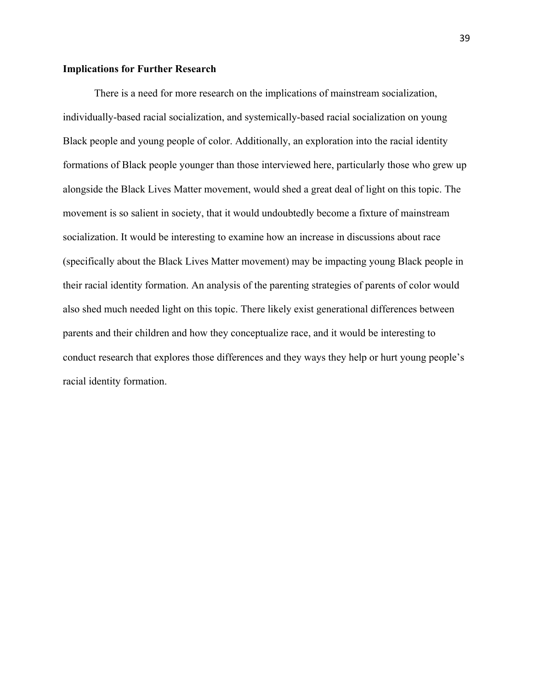### **Implications for Further Research**

There is a need for more research on the implications of mainstream socialization, individually-based racial socialization, and systemically-based racial socialization on young Black people and young people of color. Additionally, an exploration into the racial identity formations of Black people younger than those interviewed here, particularly those who grew up alongside the Black Lives Matter movement, would shed a great deal of light on this topic. The movement is so salient in society, that it would undoubtedly become a fixture of mainstream socialization. It would be interesting to examine how an increase in discussions about race (specifically about the Black Lives Matter movement) may be impacting young Black people in their racial identity formation. An analysis of the parenting strategies of parents of color would also shed much needed light on this topic. There likely exist generational differences between parents and their children and how they conceptualize race, and it would be interesting to conduct research that explores those differences and they ways they help or hurt young people's racial identity formation.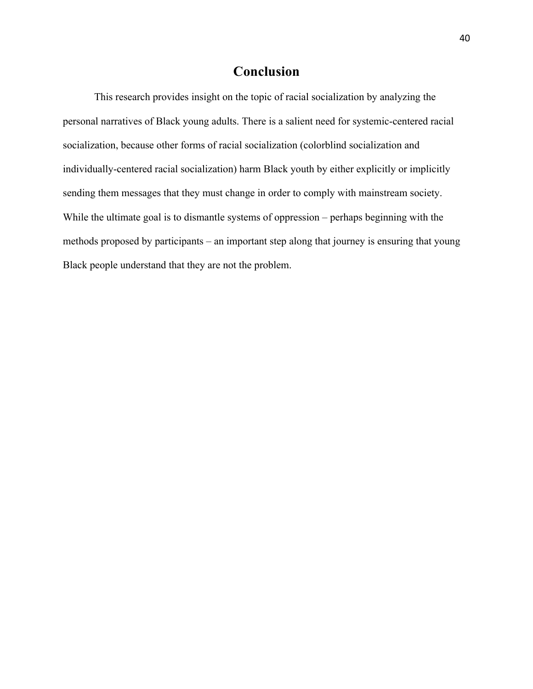## **Conclusion**

This research provides insight on the topic of racial socialization by analyzing the personal narratives of Black young adults. There is a salient need for systemic-centered racial socialization, because other forms of racial socialization (colorblind socialization and individually-centered racial socialization) harm Black youth by either explicitly or implicitly sending them messages that they must change in order to comply with mainstream society. While the ultimate goal is to dismantle systems of oppression – perhaps beginning with the methods proposed by participants – an important step along that journey is ensuring that young Black people understand that they are not the problem.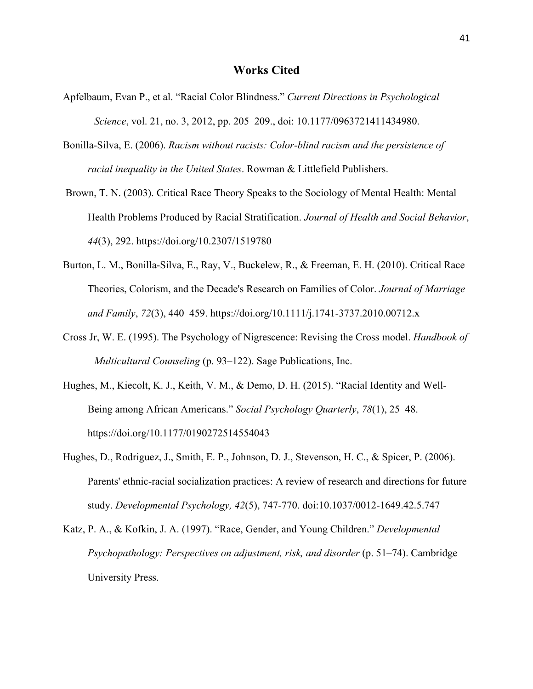- Apfelbaum, Evan P., et al. "Racial Color Blindness." *Current Directions in Psychological Science*, vol. 21, no. 3, 2012, pp. 205–209., doi: 10.1177/0963721411434980.
- Bonilla-Silva, E. (2006). *Racism without racists: Color-blind racism and the persistence of racial inequality in the United States*. Rowman & Littlefield Publishers.
- Brown, T. N. (2003). Critical Race Theory Speaks to the Sociology of Mental Health: Mental Health Problems Produced by Racial Stratification. *Journal of Health and Social Behavior*, *44*(3), 292. https://doi.org/10.2307/1519780
- Burton, L. M., Bonilla-Silva, E., Ray, V., Buckelew, R., & Freeman, E. H. (2010). Critical Race Theories, Colorism, and the Decade's Research on Families of Color. *Journal of Marriage and Family*, *72*(3), 440–459. https://doi.org/10.1111/j.1741-3737.2010.00712.x
- Cross Jr, W. E. (1995). The Psychology of Nigrescence: Revising the Cross model. *Handbook of Multicultural Counseling* (p. 93–122). Sage Publications, Inc.
- Hughes, M., Kiecolt, K. J., Keith, V. M., & Demo, D. H. (2015). "Racial Identity and Well-Being among African Americans." *Social Psychology Quarterly*, *78*(1), 25–48. https://doi.org/10.1177/0190272514554043
- Hughes, D., Rodriguez, J., Smith, E. P., Johnson, D. J., Stevenson, H. C., & Spicer, P. (2006). Parents' ethnic-racial socialization practices: A review of research and directions for future study. *Developmental Psychology, 42*(5), 747-770. doi:10.1037/0012-1649.42.5.747
- Katz, P. A., & Kofkin, J. A. (1997). "Race, Gender, and Young Children." *Developmental Psychopathology: Perspectives on adjustment, risk, and disorder* (p. 51–74). Cambridge University Press.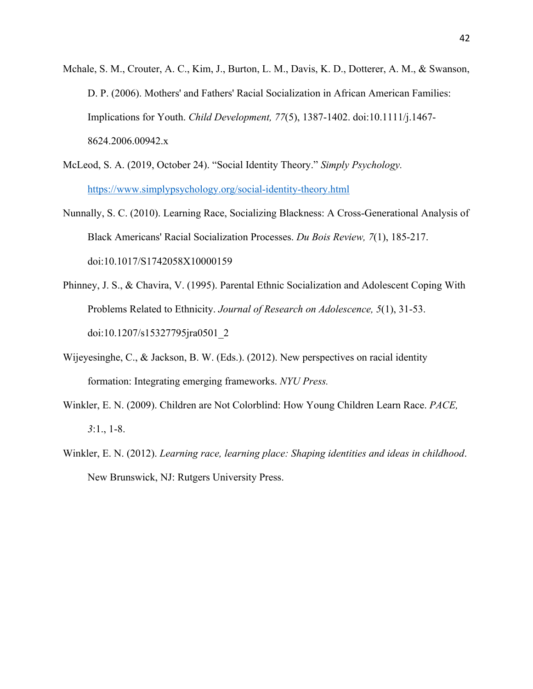- Mchale, S. M., Crouter, A. C., Kim, J., Burton, L. M., Davis, K. D., Dotterer, A. M., & Swanson, D. P. (2006). Mothers' and Fathers' Racial Socialization in African American Families: Implications for Youth. *Child Development, 77*(5), 1387-1402. doi:10.1111/j.1467- 8624.2006.00942.x
- McLeod, S. A. (2019, October 24). "Social Identity Theory." *Simply Psychology.* https://www.simplypsychology.org/social-identity-theory.html
- Nunnally, S. C. (2010). Learning Race, Socializing Blackness: A Cross-Generational Analysis of Black Americans' Racial Socialization Processes. *Du Bois Review, 7*(1), 185-217. doi:10.1017/S1742058X10000159
- Phinney, J. S., & Chavira, V. (1995). Parental Ethnic Socialization and Adolescent Coping With Problems Related to Ethnicity. *Journal of Research on Adolescence, 5*(1), 31-53. doi:10.1207/s15327795jra0501\_2
- Wijeyesinghe, C., & Jackson, B. W. (Eds.). (2012). New perspectives on racial identity formation: Integrating emerging frameworks. *NYU Press.*
- Winkler, E. N. (2009). Children are Not Colorblind: How Young Children Learn Race. *PACE, 3*:1., 1-8.
- Winkler, E. N. (2012). *Learning race, learning place: Shaping identities and ideas in childhood*. New Brunswick, NJ: Rutgers University Press.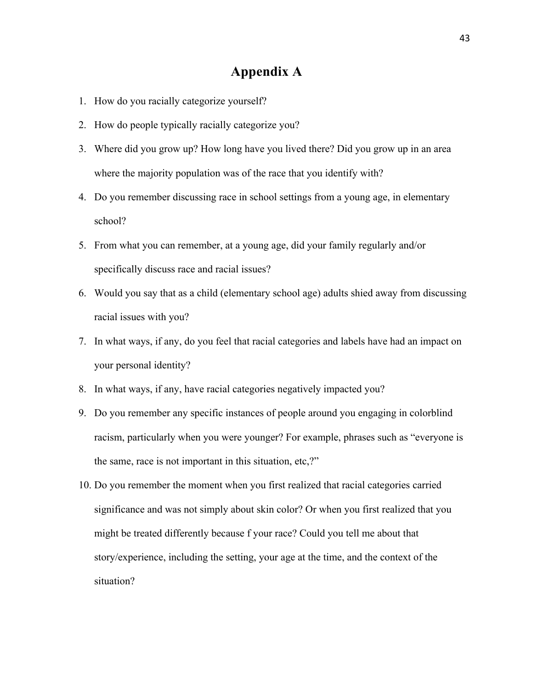## **Appendix A**

- 1. How do you racially categorize yourself?
- 2. How do people typically racially categorize you?
- 3. Where did you grow up? How long have you lived there? Did you grow up in an area where the majority population was of the race that you identify with?
- 4. Do you remember discussing race in school settings from a young age, in elementary school?
- 5. From what you can remember, at a young age, did your family regularly and/or specifically discuss race and racial issues?
- 6. Would you say that as a child (elementary school age) adults shied away from discussing racial issues with you?
- 7. In what ways, if any, do you feel that racial categories and labels have had an impact on your personal identity?
- 8. In what ways, if any, have racial categories negatively impacted you?
- 9. Do you remember any specific instances of people around you engaging in colorblind racism, particularly when you were younger? For example, phrases such as "everyone is the same, race is not important in this situation, etc,?"
- 10. Do you remember the moment when you first realized that racial categories carried significance and was not simply about skin color? Or when you first realized that you might be treated differently because f your race? Could you tell me about that story/experience, including the setting, your age at the time, and the context of the situation?